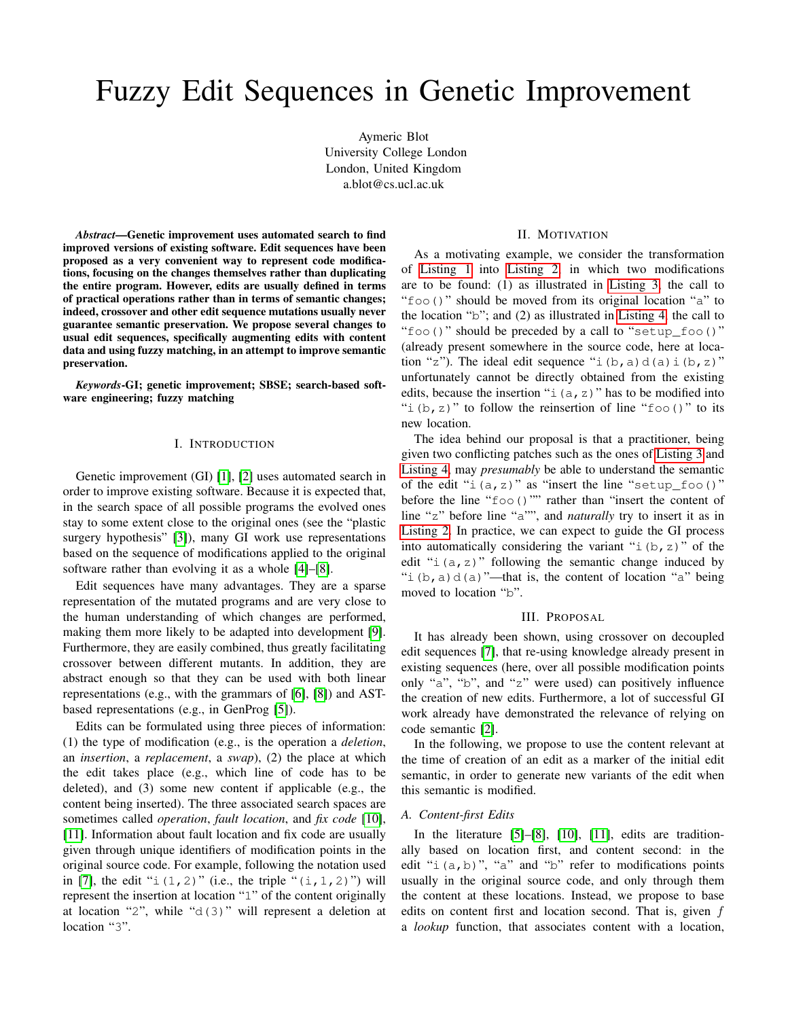# Fuzzy Edit Sequences in Genetic Improvement

Aymeric Blot University College London London, United Kingdom a.blot@cs.ucl.ac.uk

*Abstract*—Genetic improvement uses automated search to find improved versions of existing software. Edit sequences have been proposed as a very convenient way to represent code modifications, focusing on the changes themselves rather than duplicating the entire program. However, edits are usually defined in terms of practical operations rather than in terms of semantic changes; indeed, crossover and other edit sequence mutations usually never guarantee semantic preservation. We propose several changes to usual edit sequences, specifically augmenting edits with content data and using fuzzy matching, in an attempt to improve semantic preservation.

*Keywords*-GI; genetic improvement; SBSE; search-based software engineering; fuzzy matching

## I. INTRODUCTION

Genetic improvement (GI) [\[1\]](#page-1-0), [\[2\]](#page-1-1) uses automated search in order to improve existing software. Because it is expected that, in the search space of all possible programs the evolved ones stay to some extent close to the original ones (see the "plastic surgery hypothesis" [\[3\]](#page-1-2)), many GI work use representations based on the sequence of modifications applied to the original software rather than evolving it as a whole [\[4\]](#page-1-3)–[\[8\]](#page-1-4).

Edit sequences have many advantages. They are a sparse representation of the mutated programs and are very close to the human understanding of which changes are performed, making them more likely to be adapted into development [\[9\]](#page-1-5). Furthermore, they are easily combined, thus greatly facilitating crossover between different mutants. In addition, they are abstract enough so that they can be used with both linear representations (e.g., with the grammars of [\[6\]](#page-1-6), [\[8\]](#page-1-4)) and ASTbased representations (e.g., in GenProg [\[5\]](#page-1-7)).

Edits can be formulated using three pieces of information: (1) the type of modification (e.g., is the operation a *deletion*, an *insertion*, a *replacement*, a *swap*), (2) the place at which the edit takes place (e.g., which line of code has to be deleted), and (3) some new content if applicable (e.g., the content being inserted). The three associated search spaces are sometimes called *operation*, *fault location*, and *fix code* [\[10\]](#page-1-8), [\[11\]](#page-1-9). Information about fault location and fix code are usually given through unique identifiers of modification points in the original source code. For example, following the notation used in [\[7\]](#page-1-10), the edit " $i(1, 2)$ " (i.e., the triple " $(i, 1, 2)$ ") will represent the insertion at location "1" of the content originally at location "2", while "d(3)" will represent a deletion at location "3".

# II. MOTIVATION

As a motivating example, we consider the transformation of [Listing 1](#page-1-11) into [Listing 2,](#page-1-12) in which two modifications are to be found: (1) as illustrated in [Listing 3,](#page-1-13) the call to "foo()" should be moved from its original location "a" to the location "b"; and (2) as illustrated in [Listing 4,](#page-1-14) the call to "foo()" should be preceded by a call to "setup\_foo()" (already present somewhere in the source code, here at location "z"). The ideal edit sequence "i(b, a)d(a)i(b, z)" unfortunately cannot be directly obtained from the existing edits, because the insertion " $i(a, z)$ " has to be modified into "i(b, z)" to follow the reinsertion of line "foo()" to its new location.

The idea behind our proposal is that a practitioner, being given two conflicting patches such as the ones of [Listing 3](#page-1-13) and [Listing 4,](#page-1-14) may *presumably* be able to understand the semantic of the edit " $i(a, z)$ " as "insert the line "setup foo()" before the line "foo()"" rather than "insert the content of line "z" before line "a"", and *naturally* try to insert it as in [Listing 2.](#page-1-12) In practice, we can expect to guide the GI process into automatically considering the variant " $\pm$  (b, z)" of the edit " $i(a, z)$ " following the semantic change induced by "i(b, a)d(a)"—that is, the content of location "a" being moved to location "b".

#### III. PROPOSAL

It has already been shown, using crossover on decoupled edit sequences [\[7\]](#page-1-10), that re-using knowledge already present in existing sequences (here, over all possible modification points only "a", "b", and "z" were used) can positively influence the creation of new edits. Furthermore, a lot of successful GI work already have demonstrated the relevance of relying on code semantic [\[2\]](#page-1-1).

In the following, we propose to use the content relevant at the time of creation of an edit as a marker of the initial edit semantic, in order to generate new variants of the edit when this semantic is modified.

# *A. Content-first Edits*

In the literature [\[5\]](#page-1-7)–[\[8\]](#page-1-4), [\[10\]](#page-1-8), [\[11\]](#page-1-9), edits are traditionally based on location first, and content second: in the edit " $i(a,b)$ ", "a" and " $b$ " refer to modifications points usually in the original source code, and only through them the content at these locations. Instead, we propose to base edits on content first and location second. That is, given  $f$ a *lookup* function, that associates content with a location,